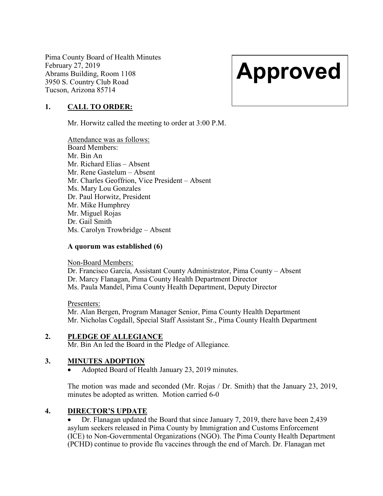Pima County Board of Health Minutes February 27, 2019 Abrams Building, Room 1108 3950 S. Country Club Road Tucson, Arizona 85714

# Approved

# 1. CALL TO ORDER:

Mr. Horwitz called the meeting to order at 3:00 P.M.

Attendance was as follows: Board Members: Mr. Bin An Mr. Richard Elías – Absent Mr. Rene Gastelum – Absent Mr. Charles Geoffrion, Vice President – Absent Ms. Mary Lou Gonzales Dr. Paul Horwitz, President Mr. Mike Humphrey Mr. Miguel Rojas Dr. Gail Smith Ms. Carolyn Trowbridge – Absent

#### A quorum was established (6)

Non-Board Members:

Dr. Francisco García, Assistant County Administrator, Pima County – Absent Dr. Marcy Flanagan, Pima County Health Department Director Ms. Paula Mandel, Pima County Health Department, Deputy Director

Presenters: Mr. Alan Bergen, Program Manager Senior, Pima County Health Department Mr. Nicholas Cogdall, Special Staff Assistant Sr., Pima County Health Department

#### 2. PLEDGE OF ALLEGIANCE

Mr. Bin An led the Board in the Pledge of Allegiance.

#### 3. MINUTES ADOPTION

Adopted Board of Health January 23, 2019 minutes.

The motion was made and seconded (Mr. Rojas / Dr. Smith) that the January 23, 2019, minutes be adopted as written. Motion carried 6-0

#### 4. DIRECTOR'S UPDATE

 Dr. Flanagan updated the Board that since January 7, 2019, there have been 2,439 asylum seekers released in Pima County by Immigration and Customs Enforcement (ICE) to Non-Governmental Organizations (NGO). The Pima County Health Department (PCHD) continue to provide flu vaccines through the end of March. Dr. Flanagan met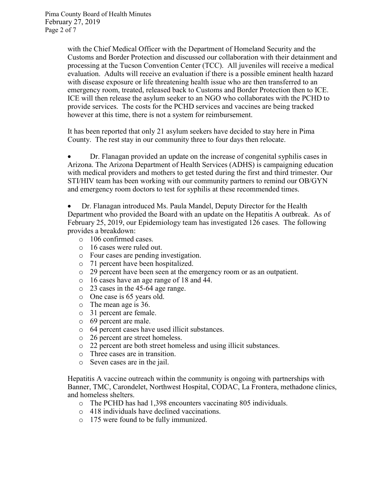with the Chief Medical Officer with the Department of Homeland Security and the Customs and Border Protection and discussed our collaboration with their detainment and processing at the Tucson Convention Center (TCC). All juveniles will receive a medical evaluation. Adults will receive an evaluation if there is a possible eminent health hazard with disease exposure or life threatening health issue who are then transferred to an emergency room, treated, released back to Customs and Border Protection then to ICE. ICE will then release the asylum seeker to an NGO who collaborates with the PCHD to provide services. The costs for the PCHD services and vaccines are being tracked however at this time, there is not a system for reimbursement.

It has been reported that only 21 asylum seekers have decided to stay here in Pima County. The rest stay in our community three to four days then relocate.

 Dr. Flanagan provided an update on the increase of congenital syphilis cases in Arizona. The Arizona Department of Health Services (ADHS) is campaigning education with medical providers and mothers to get tested during the first and third trimester. Our STI/HIV team has been working with our community partners to remind our OB/GYN and emergency room doctors to test for syphilis at these recommended times.

 Dr. Flanagan introduced Ms. Paula Mandel, Deputy Director for the Health Department who provided the Board with an update on the Hepatitis A outbreak. As of February 25, 2019, our Epidemiology team has investigated 126 cases. The following provides a breakdown:

- o 106 confirmed cases.
- o 16 cases were ruled out.
- o Four cases are pending investigation.
- o 71 percent have been hospitalized.
- o 29 percent have been seen at the emergency room or as an outpatient.
- o 16 cases have an age range of 18 and 44.
- o 23 cases in the 45-64 age range.
- o One case is 65 years old.
- o The mean age is 36.
- o 31 percent are female.
- o 69 percent are male.
- o 64 percent cases have used illicit substances.
- o 26 percent are street homeless.
- o 22 percent are both street homeless and using illicit substances.
- o Three cases are in transition.
- o Seven cases are in the jail.

Hepatitis A vaccine outreach within the community is ongoing with partnerships with Banner, TMC, Carondelet, Northwest Hospital, CODAC, La Frontera, methadone clinics, and homeless shelters.

- o The PCHD has had 1,398 encounters vaccinating 805 individuals.
- o 418 individuals have declined vaccinations.
- o 175 were found to be fully immunized.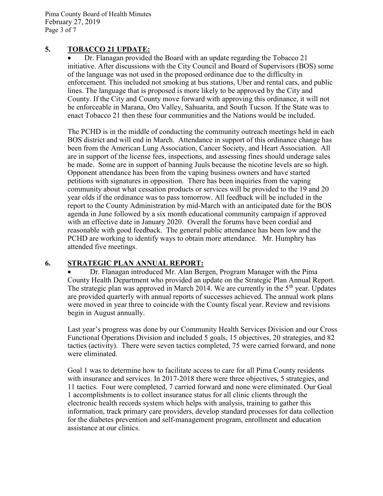Pima County Board of Health Minutes February 27, 2019 Page 3 of 7

#### 5. TOBACCO 21 UPDATE:

 Dr. Flanagan provided the Board with an update regarding the Tobacco 21 initiative. After discussions with the City Council and Board of Supervisors (BOS) some of the language was not used in the proposed ordinance due to the difficulty in enforcement. This included not smoking at bus stations, Uber and rental cars, and public lines. The language that is proposed is more likely to be approved by the City and County. If the City and County move forward with approving this ordinance, it will not be enforceable in Marana, Oro Valley, Sahuarita, and South Tucson. If the State was to enact Tobacco 21 then these four communities and the Nations would be included.

The PCHD is in the middle of conducting the community outreach meetings held in each BOS district and will end in March. Attendance in support of this ordinance change has been from the American Lung Association, Cancer Society, and Heart Association. All are in support of the license fees, inspections, and assessing fines should underage sales be made. Some are in support of banning Juuls because the nicotine levels are so high. Opponent attendance has been from the vaping business owners and have started petitions with signatures in opposition. There has been inquiries from the vaping community about what cessation products or services will be provided to the 19 and 20 year olds if the ordinance was to pass tomorrow. All feedback will be included in the report to the County Administration by mid-March with an anticipated date for the BOS agenda in June followed by a six month educational community campaign if approved with an effective date in January 2020. Overall the forums have been cordial and reasonable with good feedback. The general public attendance has been low and the PCHD are working to identify ways to obtain more attendance. Mr. Humphry has attended five meetings.

### 6. STRATEGIC PLAN ANNUAL REPORT:

 Dr. Flanagan introduced Mr. Alan Bergen, Program Manager with the Pima County Health Department who provided an update on the Strategic Plan Annual Report. The strategic plan was approved in March 2014. We are currently in the  $5<sup>th</sup>$  year. Updates are provided quarterly with annual reports of successes achieved. The annual work plans were moved in year three to coincide with the County fiscal year. Review and revisions begin in August annually.

Last year's progress was done by our Community Health Services Division and our Cross Functional Operations Division and included 5 goals, 15 objectives, 20 strategies, and 82 tactics (activity). There were seven tactics completed, 75 were carried forward, and none were eliminated.

Goal 1 was to determine how to facilitate access to care for all Pima County residents with insurance and services. In 2017-2018 there were three objectives, 5 strategies, and 11 tactics. Four were completed, 7 carried forward and none were eliminated. Our Goal 1 accomplishments is to collect insurance status for all clinic clients through the electronic health records system which helps with analysis, training to gather this information, track primary care providers, develop standard processes for data collection for the diabetes prevention and self-management program, enrollment and education assistance at our clinics.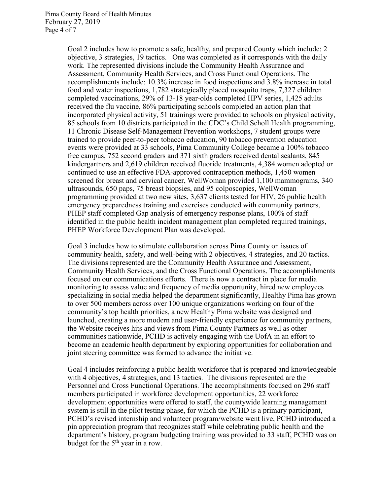Goal 2 includes how to promote a safe, healthy, and prepared County which include: 2 objective, 3 strategies, 19 tactics. One was completed as it corresponds with the daily work. The represented divisions include the Community Health Assurance and Assessment, Community Health Services, and Cross Functional Operations. The accomplishments include: 10.3% increase in food inspections and 3.8% increase in total food and water inspections, 1,782 strategically placed mosquito traps, 7,327 children completed vaccinations, 29% of 13-18 year-olds completed HPV series, 1,425 adults received the flu vaccine, 86% participating schools completed an action plan that incorporated physical activity, 51 trainings were provided to schools on physical activity, 85 schools from 10 districts participated in the CDC's Child Scholl Health programming, 11 Chronic Disease Self-Management Prevention workshops, 7 student groups were trained to provide peer-to-peer tobacco education, 90 tobacco prevention education events were provided at 33 schools, Pima Community College became a 100% tobacco free campus, 752 second graders and 371 sixth graders received dental sealants, 845 kindergartners and 2,619 children received fluoride treatments, 4,384 women adopted or continued to use an effective FDA-approved contraception methods, 1,450 women screened for breast and cervical cancer, WellWoman provided 1,100 mammograms, 340 ultrasounds, 650 paps, 75 breast biopsies, and 95 colposcopies, WellWoman programming provided at two new sites, 3,637 clients tested for HIV, 26 public health emergency preparedness training and exercises conducted with community partners, PHEP staff completed Gap analysis of emergency response plans, 100% of staff identified in the public health incident management plan completed required trainings, PHEP Workforce Development Plan was developed.

Goal 3 includes how to stimulate collaboration across Pima County on issues of community health, safety, and well-being with 2 objectives, 4 strategies, and 20 tactics. The divisions represented are the Community Health Assurance and Assessment, Community Health Services, and the Cross Functional Operations. The accomplishments focused on our communications efforts. There is now a contract in place for media monitoring to assess value and frequency of media opportunity, hired new employees specializing in social media helped the department significantly, Healthy Pima has grown to over 500 members across over 100 unique organizations working on four of the community's top health priorities, a new Healthy Pima website was designed and launched, creating a more modern and user-friendly experience for community partners, the Website receives hits and views from Pima County Partners as well as other communities nationwide, PCHD is actively engaging with the UofA in an effort to become an academic health department by exploring opportunities for collaboration and joint steering committee was formed to advance the initiative.

Goal 4 includes reinforcing a public health workforce that is prepared and knowledgeable with 4 objectives, 4 strategies, and 13 tactics. The divisions represented are the Personnel and Cross Functional Operations. The accomplishments focused on 296 staff members participated in workforce development opportunities, 22 workforce development opportunities were offered to staff, the countywide learning management system is still in the pilot testing phase, for which the PCHD is a primary participant, PCHD's revised internship and volunteer program/website went live, PCHD introduced a pin appreciation program that recognizes staff while celebrating public health and the department's history, program budgeting training was provided to 33 staff, PCHD was on budget for the  $5<sup>th</sup>$  year in a row.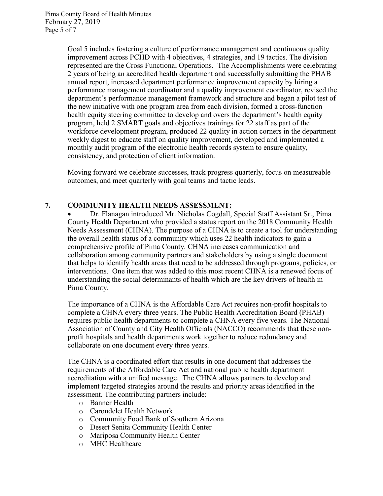Pima County Board of Health Minutes February 27, 2019 Page 5 of 7

> Goal 5 includes fostering a culture of performance management and continuous quality improvement across PCHD with 4 objectives, 4 strategies, and 19 tactics. The division represented are the Cross Functional Operations. The Accomplishments were celebrating 2 years of being an accredited health department and successfully submitting the PHAB annual report, increased department performance improvement capacity by hiring a performance management coordinator and a quality improvement coordinator, revised the department's performance management framework and structure and began a pilot test of the new initiative with one program area from each division, formed a cross-function health equity steering committee to develop and overs the department's health equity program, held 2 SMART goals and objectives trainings for 22 staff as part of the workforce development program, produced 22 quality in action corners in the department weekly digest to educate staff on quality improvement, developed and implemented a monthly audit program of the electronic health records system to ensure quality, consistency, and protection of client information.

Moving forward we celebrate successes, track progress quarterly, focus on measureable outcomes, and meet quarterly with goal teams and tactic leads.

#### 7. COMMUNITY HEALTH NEEDS ASSESSMENT:

 Dr. Flanagan introduced Mr. Nicholas Cogdall, Special Staff Assistant Sr., Pima County Health Department who provided a status report on the 2018 Community Health Needs Assessment (CHNA). The purpose of a CHNA is to create a tool for understanding the overall health status of a community which uses 22 health indicators to gain a comprehensive profile of Pima County. CHNA increases communication and collaboration among community partners and stakeholders by using a single document that helps to identify health areas that need to be addressed through programs, policies, or interventions. One item that was added to this most recent CHNA is a renewed focus of understanding the social determinants of health which are the key drivers of health in Pima County.

The importance of a CHNA is the Affordable Care Act requires non-profit hospitals to complete a CHNA every three years. The Public Health Accreditation Board (PHAB) requires public health departments to complete a CHNA every five years. The National Association of County and City Health Officials (NACCO) recommends that these nonprofit hospitals and health departments work together to reduce redundancy and collaborate on one document every three years.

The CHNA is a coordinated effort that results in one document that addresses the requirements of the Affordable Care Act and national public health department accreditation with a unified message. The CHNA allows partners to develop and implement targeted strategies around the results and priority areas identified in the assessment. The contributing partners include:

- o Banner Health
- o Carondelet Health Network
- o Community Food Bank of Southern Arizona
- o Desert Senita Community Health Center
- o Mariposa Community Health Center
- o MHC Healthcare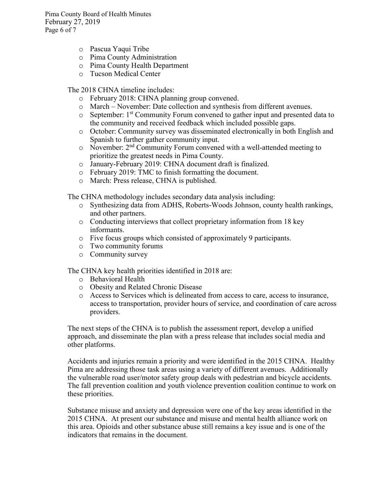Pima County Board of Health Minutes February 27, 2019 Page 6 of 7

- o Pascua Yaqui Tribe
- o Pima County Administration
- o Pima County Health Department
- o Tucson Medical Center

The 2018 CHNA timeline includes:

- o February 2018: CHNA planning group convened.
- o March November: Date collection and synthesis from different avenues.
- o September: 1st Community Forum convened to gather input and presented data to the community and received feedback which included possible gaps.
- o October: Community survey was disseminated electronically in both English and Spanish to further gather community input.
- $\circ$  November:  $2<sup>nd</sup>$  Community Forum convened with a well-attended meeting to prioritize the greatest needs in Pima County.
- o January-February 2019: CHNA document draft is finalized.
- o February 2019: TMC to finish formatting the document.
- o March: Press release, CHNA is published.

The CHNA methodology includes secondary data analysis including:

- o Synthesizing data from ADHS, Roberts-Woods Johnson, county health rankings, and other partners.
- o Conducting interviews that collect proprietary information from 18 key informants.
- o Five focus groups which consisted of approximately 9 participants.
- o Two community forums
- o Community survey

The CHNA key health priorities identified in 2018 are:

- o Behavioral Health
- o Obesity and Related Chronic Disease
- o Access to Services which is delineated from access to care, access to insurance, access to transportation, provider hours of service, and coordination of care across providers.

The next steps of the CHNA is to publish the assessment report, develop a unified approach, and disseminate the plan with a press release that includes social media and other platforms.

Accidents and injuries remain a priority and were identified in the 2015 CHNA. Healthy Pima are addressing those task areas using a variety of different avenues. Additionally the vulnerable road user/motor safety group deals with pedestrian and bicycle accidents. The fall prevention coalition and youth violence prevention coalition continue to work on these priorities.

Substance misuse and anxiety and depression were one of the key areas identified in the 2015 CHNA. At present our substance and misuse and mental health alliance work on this area. Opioids and other substance abuse still remains a key issue and is one of the indicators that remains in the document.